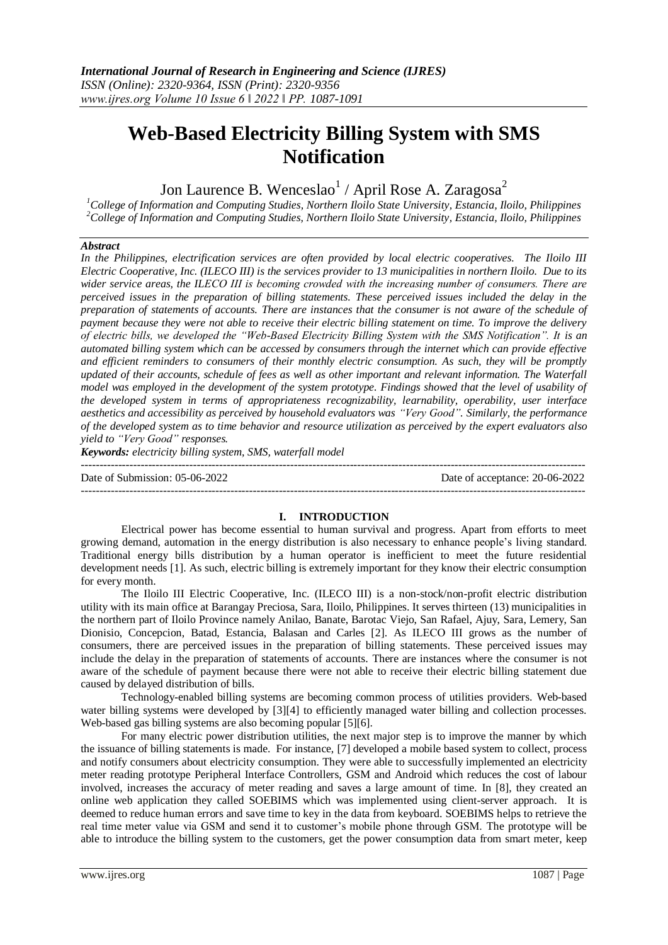# **Web-Based Electricity Billing System with SMS Notification**

Jon Laurence B. Wenceslao $^1$  / April Rose A. Zaragosa<sup>2</sup>

*<sup>1</sup>College of Information and Computing Studies, Northern Iloilo State University, Estancia, Iloilo, Philippines <sup>2</sup>College of Information and Computing Studies, Northern Iloilo State University, Estancia, Iloilo, Philippines*

### *Abstract*

*In the Philippines, electrification services are often provided by local electric cooperatives. The Iloilo III Electric Cooperative, Inc. (ILECO III) is the services provider to 13 municipalities in northern Iloilo. Due to its wider service areas, the ILECO ӀӀӀ is becoming crowded with the increasing number of consumers. There are perceived issues in the preparation of billing statements. These perceived issues included the delay in the preparation of statements of accounts. There are instances that the consumer is not aware of the schedule of payment because they were not able to receive their electric billing statement on time. To improve the delivery of electric bills, we developed the "Web-Based Electricity Billing System with the SMS Notification". It is an automated billing system which can be accessed by consumers through the internet which can provide effective and efficient reminders to consumers of their monthly electric consumption. As such, they will be promptly updated of their accounts, schedule of fees as well as other important and relevant information. The Waterfall model was employed in the development of the system prototype. Findings showed that the level of usability of the developed system in terms of appropriateness recognizability, learnability, operability, user interface aesthetics and accessibility as perceived by household evaluators was "Very Good". Similarly, the performance of the developed system as to time behavior and resource utilization as perceived by the expert evaluators also yield to "Very Good" responses.*

*Keywords: electricity billing system, SMS, waterfall model*

--------------------------------------------------------------------------------------------------------------------------------------- Date of Submission: 05-06-2022 Date of acceptance: 20-06-2022

**I. INTRODUCTION** Electrical power has become essential to human survival and progress. Apart from efforts to meet growing demand, automation in the energy distribution is also necessary to enhance people's living standard. Traditional energy bills distribution by a human operator is inefficient to meet the future residential development needs [1]. As such, electric billing is extremely important for they know their electric consumption for every month.

The Iloilo III Electric Cooperative, Inc. (ILECO III) is a non-stock/non-profit electric distribution utility with its main office at Barangay Preciosa, Sara, Iloilo, Philippines. It serves thirteen (13) municipalities in the northern part of Iloilo Province namely Anilao, Banate, Barotac Viejo, San Rafael, Ajuy, Sara, Lemery, San Dionisio, Concepcion, Batad, Estancia, Balasan and Carles [2]. As ILECO ӀӀӀ grows as the number of consumers, there are perceived issues in the preparation of billing statements. These perceived issues may include the delay in the preparation of statements of accounts. There are instances where the consumer is not aware of the schedule of payment because there were not able to receive their electric billing statement due caused by delayed distribution of bills.

Technology-enabled billing systems are becoming common process of utilities providers. Web-based water billing systems were developed by [3][4] to efficiently managed water billing and collection processes. Web-based gas billing systems are also becoming popular [5][6].

For many electric power distribution utilities, the next major step is to improve the manner by which the issuance of billing statements is made. For instance, [7] developed a mobile based system to collect, process and notify consumers about electricity consumption. They were able to successfully implemented an electricity meter reading prototype Peripheral Interface Controllers, GSM and Android which reduces the cost of labour involved, increases the accuracy of meter reading and saves a large amount of time. In [8], they created an online web application they called SOEBIMS which was implemented using client-server approach. It is deemed to reduce human errors and save time to key in the data from keyboard. SOEBIMS helps to retrieve the real time meter value via GSM and send it to customer's mobile phone through GSM. The prototype will be able to introduce the billing system to the customers, get the power consumption data from smart meter, keep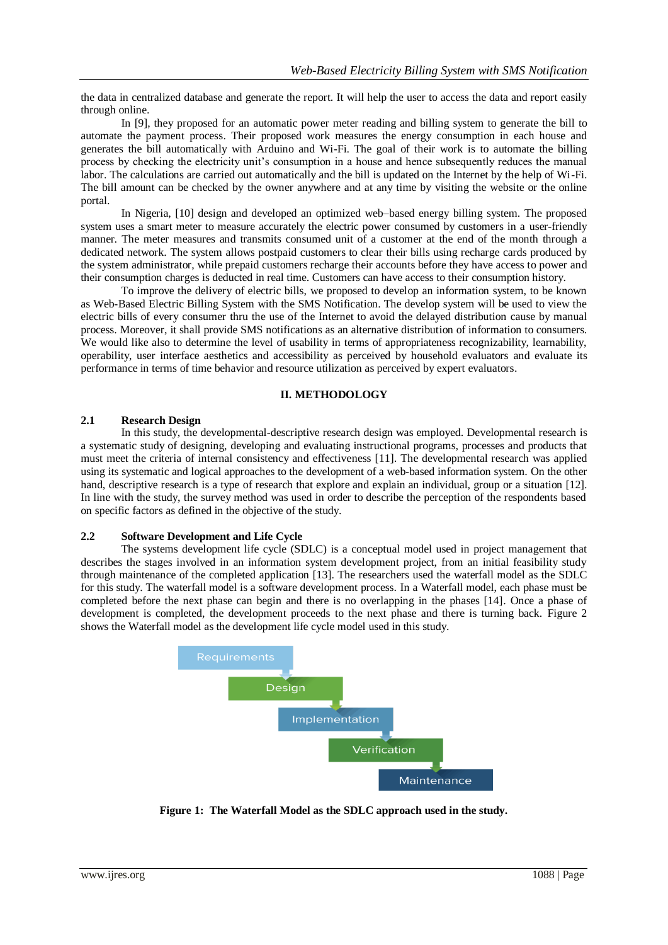the data in centralized database and generate the report. It will help the user to access the data and report easily through online.

In [9], they proposed for an automatic power meter reading and billing system to generate the bill to automate the payment process. Their proposed work measures the energy consumption in each house and generates the bill automatically with Arduino and Wi-Fi. The goal of their work is to automate the billing process by checking the electricity unit's consumption in a house and hence subsequently reduces the manual labor. The calculations are carried out automatically and the bill is updated on the Internet by the help of Wi-Fi. The bill amount can be checked by the owner anywhere and at any time by visiting the website or the online portal.

In Nigeria, [10] design and developed an optimized web–based energy billing system. The proposed system uses a smart meter to measure accurately the electric power consumed by customers in a user-friendly manner. The meter measures and transmits consumed unit of a customer at the end of the month through a dedicated network. The system allows postpaid customers to clear their bills using recharge cards produced by the system administrator, while prepaid customers recharge their accounts before they have access to power and their consumption charges is deducted in real time. Customers can have access to their consumption history.

To improve the delivery of electric bills, we proposed to develop an information system, to be known as Web-Based Electric Billing System with the SMS Notification. The develop system will be used to view the electric bills of every consumer thru the use of the Internet to avoid the delayed distribution cause by manual process. Moreover, it shall provide SMS notifications as an alternative distribution of information to consumers. We would like also to determine the level of usability in terms of appropriateness recognizability, learnability, operability, user interface aesthetics and accessibility as perceived by household evaluators and evaluate its performance in terms of time behavior and resource utilization as perceived by expert evaluators.

# **II. METHODOLOGY**

### **2.1 Research Design**

In this study, the developmental-descriptive research design was employed. Developmental research is a systematic study of designing, developing and evaluating instructional programs, processes and products that must meet the criteria of internal consistency and effectiveness [11]. The developmental research was applied using its systematic and logical approaches to the development of a web-based information system. On the other hand, descriptive research is a type of research that explore and explain an individual, group or a situation [12]. In line with the study, the survey method was used in order to describe the perception of the respondents based on specific factors as defined in the objective of the study.

### **2.2 Software Development and Life Cycle**

The systems development life cycle (SDLC) is a conceptual model used in project management that describes the stages involved in an information system development project, from an initial feasibility study through maintenance of the completed application [13]. The researchers used the waterfall model as the SDLC for this study. The waterfall model is a software development process. In a Waterfall model, each phase must be completed before the next phase can begin and there is no overlapping in the phases [14]. Once a phase of development is completed, the development proceeds to the next phase and there is turning back. Figure 2 shows the Waterfall model as the development life cycle model used in this study.



**Figure 1: The Waterfall Model as the SDLC approach used in the study.**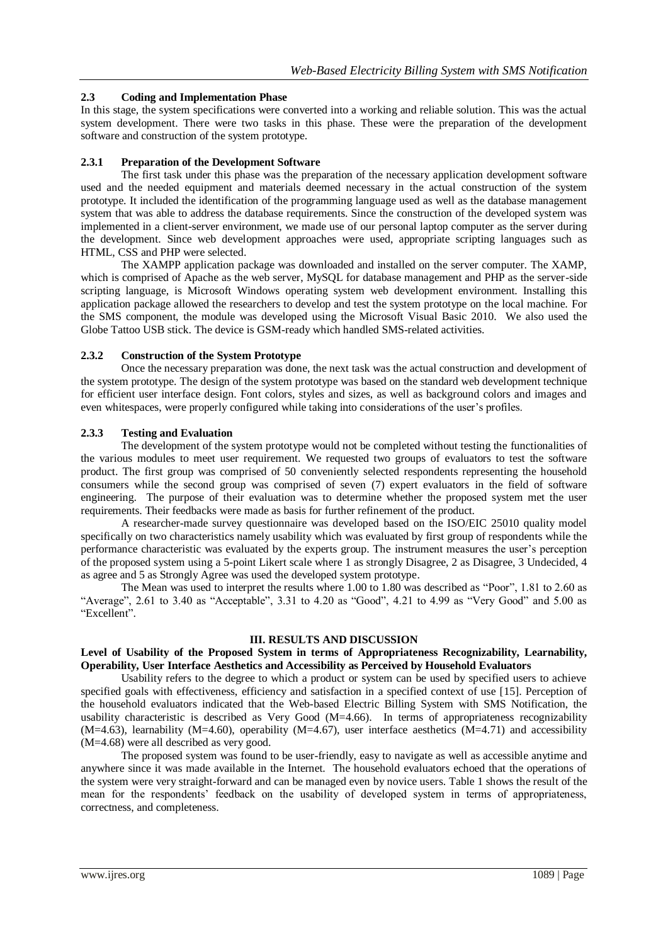# **2.3 Coding and Implementation Phase**

In this stage, the system specifications were converted into a working and reliable solution. This was the actual system development. There were two tasks in this phase. These were the preparation of the development software and construction of the system prototype.

# **2.3.1 Preparation of the Development Software**

The first task under this phase was the preparation of the necessary application development software used and the needed equipment and materials deemed necessary in the actual construction of the system prototype. It included the identification of the programming language used as well as the database management system that was able to address the database requirements. Since the construction of the developed system was implemented in a client-server environment, we made use of our personal laptop computer as the server during the development. Since web development approaches were used, appropriate scripting languages such as HTML, CSS and PHP were selected.

The XAMPP application package was downloaded and installed on the server computer. The XAMP, which is comprised of Apache as the web server, MySQL for database management and PHP as the server-side scripting language, is Microsoft Windows operating system web development environment. Installing this application package allowed the researchers to develop and test the system prototype on the local machine. For the SMS component, the module was developed using the Microsoft Visual Basic 2010. We also used the Globe Tattoo USB stick. The device is GSM-ready which handled SMS-related activities.

# **2.3.2 Construction of the System Prototype**

Once the necessary preparation was done, the next task was the actual construction and development of the system prototype. The design of the system prototype was based on the standard web development technique for efficient user interface design. Font colors, styles and sizes, as well as background colors and images and even whitespaces, were properly configured while taking into considerations of the user's profiles.

# **2.3.3 Testing and Evaluation**

The development of the system prototype would not be completed without testing the functionalities of the various modules to meet user requirement. We requested two groups of evaluators to test the software product. The first group was comprised of 50 conveniently selected respondents representing the household consumers while the second group was comprised of seven (7) expert evaluators in the field of software engineering. The purpose of their evaluation was to determine whether the proposed system met the user requirements. Their feedbacks were made as basis for further refinement of the product.

A researcher-made survey questionnaire was developed based on the ISO/EIC 25010 quality model specifically on two characteristics namely usability which was evaluated by first group of respondents while the performance characteristic was evaluated by the experts group. The instrument measures the user's perception of the proposed system using a 5-point Likert scale where 1 as strongly Disagree, 2 as Disagree, 3 Undecided, 4 as agree and 5 as Strongly Agree was used the developed system prototype.

The Mean was used to interpret the results where 1.00 to 1.80 was described as "Poor", 1.81 to 2.60 as "Average", 2.61 to 3.40 as "Acceptable", 3.31 to 4.20 as "Good", 4.21 to 4.99 as "Very Good" and 5.00 as "Excellent".

### **III. RESULTS AND DISCUSSION**

### **Level of Usability of the Proposed System in terms of Appropriateness Recognizability, Learnability, Operability, User Interface Aesthetics and Accessibility as Perceived by Household Evaluators**

Usability refers to the degree to which a product or system can be used by specified users to achieve specified goals with effectiveness, efficiency and satisfaction in a specified context of use [15]. Perception of the household evaluators indicated that the Web-based Electric Billing System with SMS Notification, the usability characteristic is described as Very Good (M=4.66). In terms of appropriateness recognizability  $(M=4.63)$ , learnability  $(M=4.60)$ , operability  $(M=4.67)$ , user interface aesthetics  $(M=4.71)$  and accessibility (M=4.68) were all described as very good.

The proposed system was found to be user-friendly, easy to navigate as well as accessible anytime and anywhere since it was made available in the Internet. The household evaluators echoed that the operations of the system were very straight-forward and can be managed even by novice users. Table 1 shows the result of the mean for the respondents' feedback on the usability of developed system in terms of appropriateness, correctness, and completeness.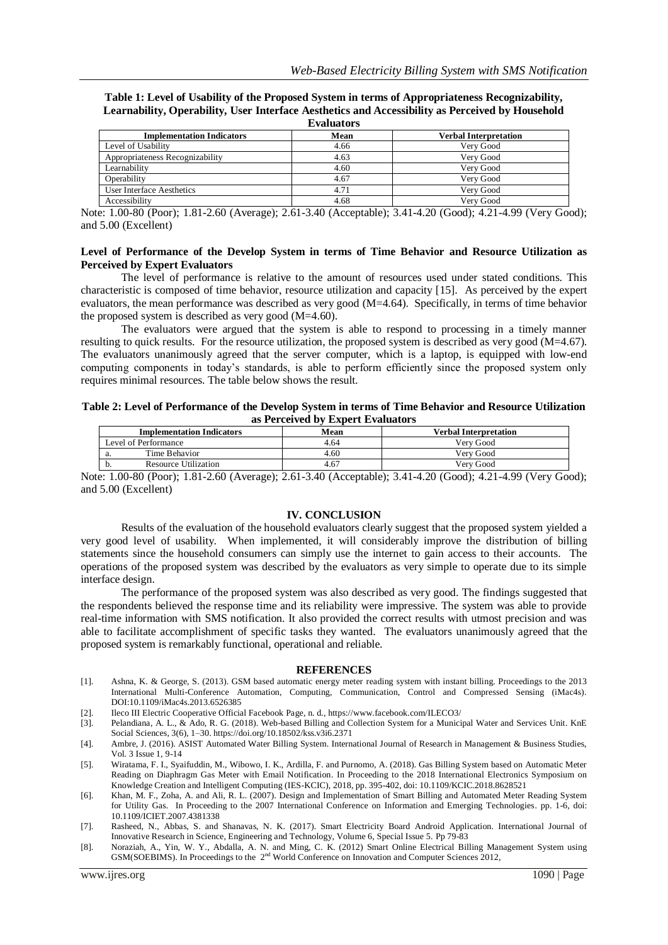**Table 1: Level of Usability of the Proposed System in terms of Appropriateness Recognizability, Learnability, Operability, User Interface Aesthetics and Accessibility as Perceived by Household Evaluation** 

| L'Valuatol S                     |      |                              |  |
|----------------------------------|------|------------------------------|--|
| <b>Implementation Indicators</b> | Mean | <b>Verbal Interpretation</b> |  |
| Level of Usability               | 4.66 | Very Good                    |  |
| Appropriateness Recognizability  | 4.63 | Very Good                    |  |
| Learnability                     | 4.60 | Very Good                    |  |
| Operability                      | 4.67 | Very Good                    |  |
| User Interface Aesthetics        | 4.71 | Very Good                    |  |
| Accessibility                    | 4.68 | Very Good                    |  |
|                                  |      |                              |  |

Note: 1.00-80 (Poor); 1.81-2.60 (Average); 2.61-3.40 (Acceptable); 3.41-4.20 (Good); 4.21-4.99 (Very Good); and 5.00 (Excellent)

#### **Level of Performance of the Develop System in terms of Time Behavior and Resource Utilization as Perceived by Expert Evaluators**

The level of performance is relative to the amount of resources used under stated conditions. This characteristic is composed of time behavior, resource utilization and capacity [15]. As perceived by the expert evaluators, the mean performance was described as very good (M=4.64). Specifically, in terms of time behavior the proposed system is described as very good (M=4.60).

The evaluators were argued that the system is able to respond to processing in a timely manner resulting to quick results. For the resource utilization, the proposed system is described as very good (M=4.67). The evaluators unanimously agreed that the server computer, which is a laptop, is equipped with low-end computing components in today's standards, is able to perform efficiently since the proposed system only requires minimal resources. The table below shows the result.

#### **Table 2: Level of Performance of the Develop System in terms of Time Behavior and Resource Utilization as Perceived by Expert Evaluators**

|                      | <b>Implementation Indicators</b> | Mean | <b>Verbal Interpretation</b> |
|----------------------|----------------------------------|------|------------------------------|
| Level of Performance |                                  | 4.64 | Verv Good                    |
| a.                   | Time Behavior                    | 4.60 | Verv Good                    |
| υ.                   | <b>Resource Utilization</b>      | 4.67 | Verv Good                    |

Note: 1.00-80 (Poor); 1.81-2.60 (Average); 2.61-3.40 (Acceptable); 3.41-4.20 (Good); 4.21-4.99 (Very Good); and 5.00 (Excellent)

#### **IV. CONCLUSION**

Results of the evaluation of the household evaluators clearly suggest that the proposed system yielded a very good level of usability. When implemented, it will considerably improve the distribution of billing statements since the household consumers can simply use the internet to gain access to their accounts. The operations of the proposed system was described by the evaluators as very simple to operate due to its simple interface design.

The performance of the proposed system was also described as very good. The findings suggested that the respondents believed the response time and its reliability were impressive. The system was able to provide real-time information with SMS notification. It also provided the correct results with utmost precision and was able to facilitate accomplishment of specific tasks they wanted. The evaluators unanimously agreed that the proposed system is remarkably functional, operational and reliable.

#### **REFERENCES**

- [1]. Ashna, K. & George, S. (2013). GSM based automatic energy meter reading system with instant billing. Proceedings to the 2013 International Multi-Conference Automation, Computing, Communication, Control and Compressed Sensing (iMac4s). DOI:10.1109/iMac4s.2013.6526385
- [2]. Ileco III Electric Cooperative Official Facebook Page, n. d.[, https://www.facebook.com/ILECO3/](https://www.facebook.com/ILECO3/)
- [3]. Pelandiana, A. L., & Ado, R. G. (2018). Web-based Billing and Collection System for a Municipal Water and Services Unit. KnE Social Sciences, 3(6), 1–30. https://doi.org/10.18502/kss.v3i6.2371
- [4]. Ambre, J. (2016). ASIST Automated Water Billing System. International Journal of Research in Management & Business Studies, Vol. 3 Issue 1, 9-14
- [5]. Wiratama, F. I., Syaifuddin, M., Wibowo, I. K., Ardilla, F. and Purnomo, A. (2018). Gas Billing System based on Automatic Meter Reading on Diaphragm Gas Meter with Email Notification. In Proceeding to the 2018 International Electronics Symposium on Knowledge Creation and Intelligent Computing (IES-KCIC), 2018, pp. 395-402, doi: 10.1109/KCIC.2018.8628521
- [6]. Khan, M. F., Zoha, A. and Ali, R. L. (2007). Design and Implementation of Smart Billing and Automated Meter Reading System for Utility Gas. In Proceeding to the 2007 International Conference on Information and Emerging Technologies. pp. 1-6, doi: 10.1109/ICIET.2007.4381338
- [7]. Rasheed, N., Abbas, S. and Shanavas, N. K. (2017). Smart Electricity Board Android Application. International Journal of Innovative Research in Science, Engineering and Technology, Volume 6, Special Issue 5. Pp 79-83
- [8]. Noraziah, A., Yin, W. Y., Abdalla, A. N. and Ming, C. K. (2012) Smart Online Electrical Billing Management System using GSM(SOEBIMS). In Proceedings to the  $2<sup>nd</sup>$  World Conference on Innovation and Computer Sciences 2012,